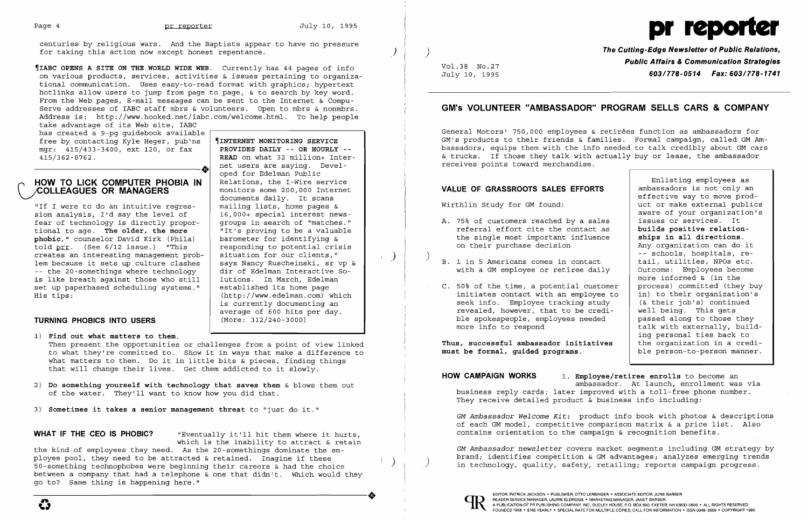

centuries by religious wars. And the Baptists appear to have no pressure for taking this action now except honest repentance.

take advantage of its Web site, IABC has created a 9-pg guidebook available free by contacting Kyle Heger, pub'ns | **[INTERNET MONITORING SERVICE** mgr: 415/433-3400, ext 120, or fax | PROVIDES DAILY -- OR HOURLY -mgr: 415/433-3400, ext 120, or fax 415/362-8762.  $+15/362-8762$ .<br>  $+15/362-8762$ .<br>  $+100V$  = 0K AOU, ext 120, 0f 1ax<br>  $+15/362-8762$ .<br>  $+120V$  or  $+120V$ <br>  $+120V$ <br>  $+120V$ <br>  $+120V$ <br>  $+120V$ <br>  $+120V$ <br>  $+120V$ <br>  $+120V$ <br>  $+120V$ <br>  $+120V$ <br>  $+120V$ <br>  $+120V$ <br>  $+120V$ <br>  $+120V$ 

~IABC **OPENS A SITE ON THE WORLD WIDE WEB.** Currently has 44 pages of info on various products, services, activities & issues pertaining to organizational communication. Uses easy-to-read format with graphics; hypertext hotlinks allow users to jump from page to page, & to search by key word. From the Web pages, E-mail messages can be sent to the Internet & Compu-Serve addresses of IABC staff mbrs & volunteers. Open to mbrs & nonmbrs. Address is: http://www.hooked.net/iabc.com/welcome.html. To help people

## **HOW TO LICK COMPUTER PHOBIA IN** Relations, the I-Wire service COMPUTER PHOBIA IN Relations, the I-Wire service monitors some 200,000 Internet **\-/COLLEAGUES OR MANAGERS**

**READ** on what 32 million+ Internet users are saying. Devel-

documents daily. It scans<br>mailing lists, home pages &

"If I were to do an intuitive regres-<br>sion analysis, I'd say the level of  $\begin{array}{|l|} 16,000+{\rm\,}}\mbox{special interest news-} \end{array}$ sion analysis, I'd say the level of  $\begin{array}{|l|l|} 16,000+$  special interest news-<br>fear of technology is directly propor- qroups in search of "matches." fear of technology is directly propor-  $\vert$  groups in search of "matches."<br>tional to age. The older, the more  $\vert$  "It's proving to be a valuable tional to age. **The older, the more** "It's proving to be a valuak<br> **phobic**," counselor David Kirk (Phila) barometer for identifying & **phobic,"** counselor David Kirk (Phila) barometer for identifying & told  $\frac{pr}{r}$ . (See 6/12 issue.) "This responding to potential crist<br>creates an interesting management prob- situation for our clients," creates an interesting management prob- situation for our clients,"<br>lem because it sets up culture clashes says Nancy Ruscheinski, sr vp & lem because it sets up culture clashes says Nancy Ruscheinski, sr vp & -- the 20-somethings where technology | dir of Edelman Interactive S<br>is like breath against those who still | lutions. In March, Edelman is like breath against those who still  $\vert$  lutions. In March, Edelman set up paperbased scheduling systems." established its home page set up paperbased scheduling systems." His tips:

 (http://www.edelman.com) which is currently documenting an average of 600 hits per day.<br>(More: 312/240-3000)

## **TURNING PHOBICS INTO USERS**

**WHAT IF THE CEO IS PHOBIC?** "Eventually it'll hit them where it hurts, which is the inability to attract & retain

**The Cutting-Edge Newsletter of Public Relations, Public Affairs & Communication Strategies** Vol.38 No.27 July 10, 1995 *603/778-0514 Fax: 603/778-1741* 

- 1) **Find out what matters to them.**  Then present the opportunities or challenges from a point of view linked to what they're committed to. Show it in ways that make a difference to what matters to them. Do it in little bits & pieces, finding things that will change their lives. Get them addicted to it slowly.
- 2) Do something yourself with technology that saves them & blows them out of the water. They'll want to know how you did that.
- 3) **Sometimes it takes a senior management threat** to "just do it."

**HOW CAMPAIGN WORKS 1. Employee/retiree enrolls** to become an ambassador. At launch, enrollment was via business reply cards; later improved with a toll-free phone number. They receive detailed product & business info including:



## **GM's VOLUNTEER "AMBASSADOR" PROGRAM SELLS CARS & COMPANY**

General Motors' 750,000 employees & retirees function as ambassadors for GM's products to their friends & families. Formal campaign, called GM Ambassadors, equips them with the info needed to talk credibly about GM cars & trucks. If those they talk with actually buy or lease, the ambassador receives points toward merchandise.

## **VALUE OF GRASSROOTS SALES EFFORT**

- referral effort cite the contact A. 75% of customers reached by a sal the single most important influen on their purchase decision
- with a GM employee or retiree da:
- initiates contact with an employe  $C. 50%$  of the time, a potential cust seek info. Employee tracking study revealed, however, that to be cre ble spokespeople, employees neede more info to respond

| VALUE OF GRASSROOTS SALES EFFORTS<br>Wirthlin Study for GM found:           |                                                                                                                                                                                                                               | Enlisting employees as<br>ambassadors is not only an<br>effective way to move prod-<br>uct or make external publics                                                                                          |
|-----------------------------------------------------------------------------|-------------------------------------------------------------------------------------------------------------------------------------------------------------------------------------------------------------------------------|--------------------------------------------------------------------------------------------------------------------------------------------------------------------------------------------------------------|
|                                                                             | A. 75% of customers reached by a sales<br>referral effort cite the contact as<br>the single most important influence                                                                                                          | aware of your organization's<br>issues or services. It<br>builds positive relation-<br>ships in all directions.                                                                                              |
|                                                                             | on their purchase decision                                                                                                                                                                                                    | Any organization can do it<br>-- schools, hospitals, re-                                                                                                                                                     |
|                                                                             | B. 1 in 5 Americans comes in contact<br>with a GM employee or retiree daily                                                                                                                                                   | tail, utilities, NPOs etc.<br>Outcome: Employees become<br>more informed & (in the                                                                                                                           |
|                                                                             | C. 50% of the time, a potential customer<br>initiates contact with an employee to<br>seek info. Employee tracking study<br>revealed, however, that to be credi-<br>ble spokespeople, employees needed<br>more info to respond | process) committed (they buy<br>in) to their organization's<br>(& their job's) continued<br>well being. This gets<br>passed along to those they<br>talk with externally, build-<br>ing personal ties back to |
| Thus, successful ambassador initiatives<br>must be formal, guided programs. |                                                                                                                                                                                                                               | the organization in a credi-<br>ble person-to-person manner.                                                                                                                                                 |

the kind of employees they need. As the 20-somethings dominate the employee pool, they need to be attracted & retained. Imagine if these 50-something technophobes were beginning their careers & had the choice between a company that had a telephone & one that didn't. Which would they go to? Same thing is happening here." -----------------------+ EDITOR, PATRICK JACKSON· PUBLISHER, OTTO LERBINGER • ASSOCIATE EDITOR, JUNE BARBER

*GM Ambassador Welcome Kit:* product info book with photos & descriptions of each GM model, competitive comparison matrix & a price list. Also contains orientation to the campaign & recognition benefits.

*GM Ambassador newsletter covers market segments including GM strategy by*<br>brand; identifies competition & GM advantages; analyzes emerging trends in technology, quality, safety, retailing; reports campaign progress.